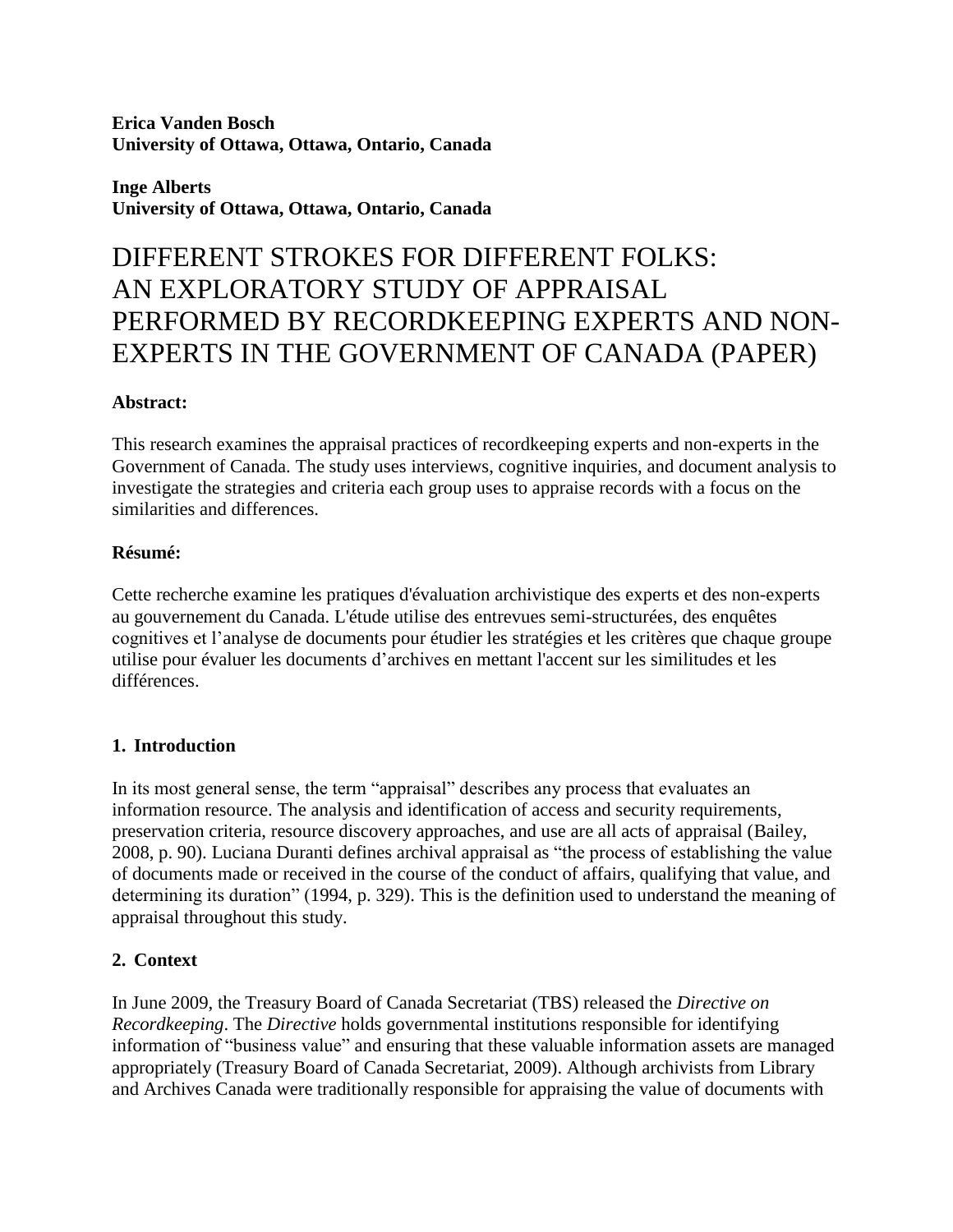#### **Erica Vanden Bosch University of Ottawa, Ottawa, Ontario, Canada**

**Inge Alberts University of Ottawa, Ottawa, Ontario, Canada**

# DIFFERENT STROKES FOR DIFFERENT FOLKS: AN EXPLORATORY STUDY OF APPRAISAL PERFORMED BY RECORDKEEPING EXPERTS AND NON-EXPERTS IN THE GOVERNMENT OF CANADA (PAPER)

## **Abstract:**

This research examines the appraisal practices of recordkeeping experts and non-experts in the Government of Canada. The study uses interviews, cognitive inquiries, and document analysis to investigate the strategies and criteria each group uses to appraise records with a focus on the similarities and differences.

#### **Résumé:**

Cette recherche examine les pratiques d'évaluation archivistique des experts et des non-experts au gouvernement du Canada. L'étude utilise des entrevues semi-structurées, des enquêtes cognitives et l'analyse de documents pour étudier les stratégies et les critères que chaque groupe utilise pour évaluer les documents d'archives en mettant l'accent sur les similitudes et les différences.

## **1. Introduction**

In its most general sense, the term "appraisal" describes any process that evaluates an information resource. The analysis and identification of access and security requirements, preservation criteria, resource discovery approaches, and use are all acts of appraisal (Bailey, 2008, p. 90). Luciana Duranti defines archival appraisal as "the process of establishing the value of documents made or received in the course of the conduct of affairs, qualifying that value, and determining its duration" (1994, p. 329). This is the definition used to understand the meaning of appraisal throughout this study.

## **2. Context**

In June 2009, the Treasury Board of Canada Secretariat (TBS) released the *Directive on Recordkeeping*. The *Directive* holds governmental institutions responsible for identifying information of "business value" and ensuring that these valuable information assets are managed appropriately (Treasury Board of Canada Secretariat, 2009). Although archivists from Library and Archives Canada were traditionally responsible for appraising the value of documents with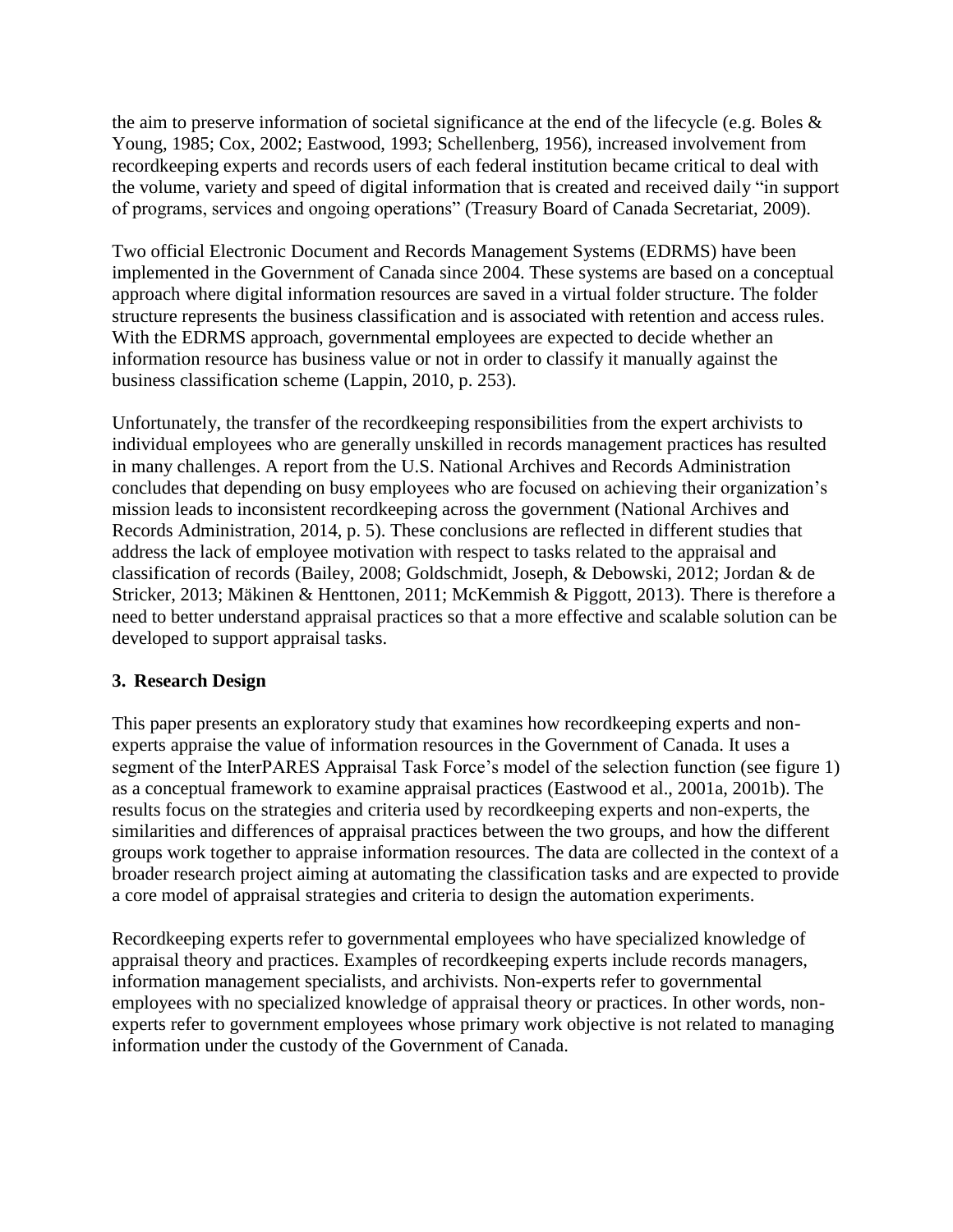the aim to preserve information of societal significance at the end of the lifecycle (e.g. Boles & Young, 1985; Cox, 2002; Eastwood, 1993; Schellenberg, 1956), increased involvement from recordkeeping experts and records users of each federal institution became critical to deal with the volume, variety and speed of digital information that is created and received daily "in support of programs, services and ongoing operations" (Treasury Board of Canada Secretariat, 2009).

Two official Electronic Document and Records Management Systems (EDRMS) have been implemented in the Government of Canada since 2004. These systems are based on a conceptual approach where digital information resources are saved in a virtual folder structure. The folder structure represents the business classification and is associated with retention and access rules. With the EDRMS approach, governmental employees are expected to decide whether an information resource has business value or not in order to classify it manually against the business classification scheme (Lappin, 2010, p. 253).

Unfortunately, the transfer of the recordkeeping responsibilities from the expert archivists to individual employees who are generally unskilled in records management practices has resulted in many challenges. A report from the U.S. National Archives and Records Administration concludes that depending on busy employees who are focused on achieving their organization's mission leads to inconsistent recordkeeping across the government (National Archives and Records Administration, 2014, p. 5). These conclusions are reflected in different studies that address the lack of employee motivation with respect to tasks related to the appraisal and classification of records (Bailey, 2008; Goldschmidt, Joseph, & Debowski, 2012; Jordan & de Stricker, 2013; Mäkinen & Henttonen, 2011; McKemmish & Piggott, 2013). There is therefore a need to better understand appraisal practices so that a more effective and scalable solution can be developed to support appraisal tasks.

## **3. Research Design**

This paper presents an exploratory study that examines how recordkeeping experts and nonexperts appraise the value of information resources in the Government of Canada. It uses a segment of the InterPARES Appraisal Task Force's model of the selection function (see figure 1) as a conceptual framework to examine appraisal practices (Eastwood et al., 2001a, 2001b). The results focus on the strategies and criteria used by recordkeeping experts and non-experts, the similarities and differences of appraisal practices between the two groups, and how the different groups work together to appraise information resources. The data are collected in the context of a broader research project aiming at automating the classification tasks and are expected to provide a core model of appraisal strategies and criteria to design the automation experiments.

Recordkeeping experts refer to governmental employees who have specialized knowledge of appraisal theory and practices. Examples of recordkeeping experts include records managers, information management specialists, and archivists. Non-experts refer to governmental employees with no specialized knowledge of appraisal theory or practices. In other words, nonexperts refer to government employees whose primary work objective is not related to managing information under the custody of the Government of Canada.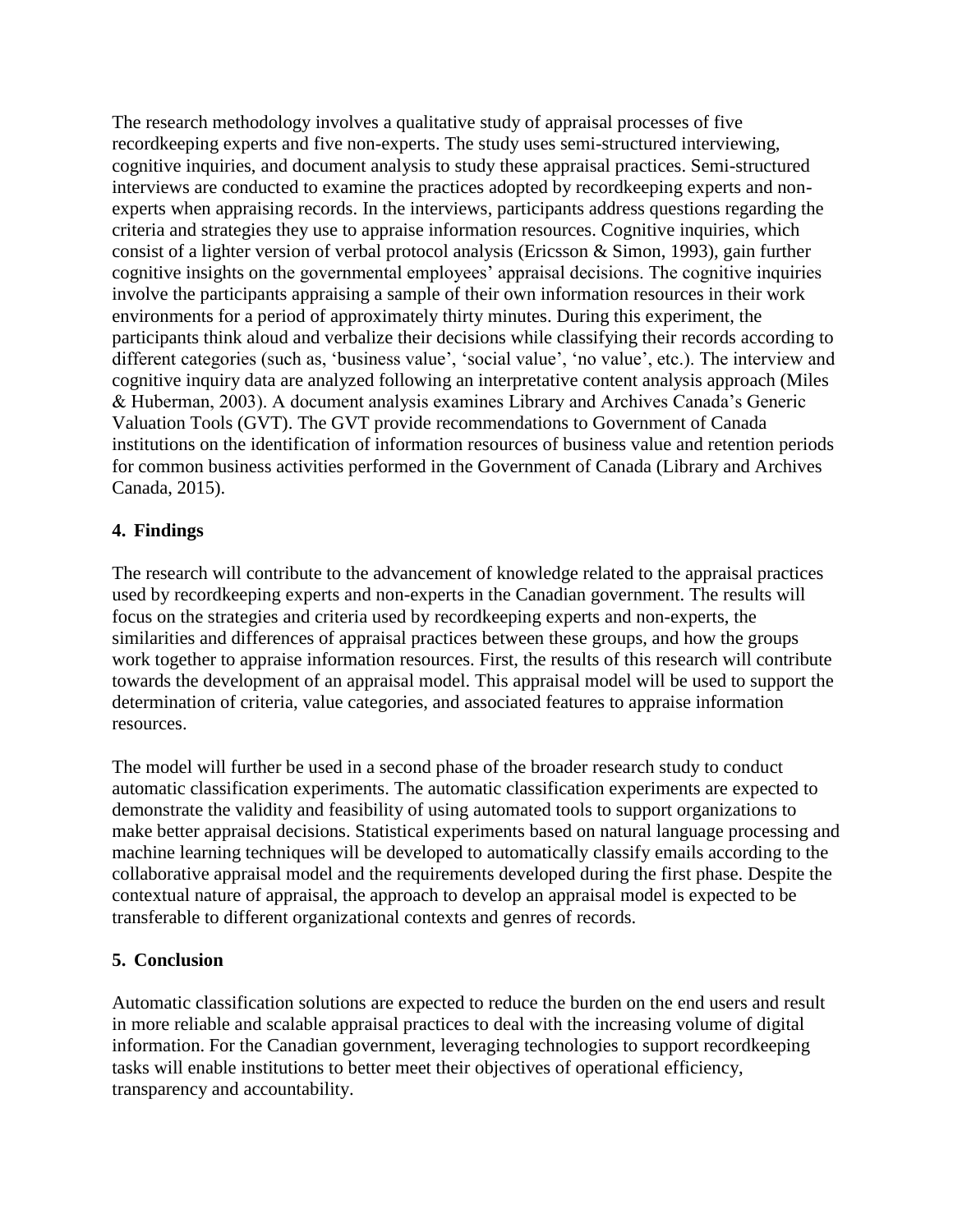The research methodology involves a qualitative study of appraisal processes of five recordkeeping experts and five non-experts. The study uses semi-structured interviewing, cognitive inquiries, and document analysis to study these appraisal practices. Semi-structured interviews are conducted to examine the practices adopted by recordkeeping experts and nonexperts when appraising records. In the interviews, participants address questions regarding the criteria and strategies they use to appraise information resources. Cognitive inquiries, which consist of a lighter version of verbal protocol analysis (Ericsson & Simon, 1993), gain further cognitive insights on the governmental employees' appraisal decisions. The cognitive inquiries involve the participants appraising a sample of their own information resources in their work environments for a period of approximately thirty minutes. During this experiment, the participants think aloud and verbalize their decisions while classifying their records according to different categories (such as, 'business value', 'social value', 'no value', etc.). The interview and cognitive inquiry data are analyzed following an interpretative content analysis approach (Miles & Huberman, 2003). A document analysis examines Library and Archives Canada's Generic Valuation Tools (GVT). The GVT provide recommendations to Government of Canada institutions on the identification of information resources of business value and retention periods for common business activities performed in the Government of Canada (Library and Archives Canada, 2015).

## **4. Findings**

The research will contribute to the advancement of knowledge related to the appraisal practices used by recordkeeping experts and non-experts in the Canadian government. The results will focus on the strategies and criteria used by recordkeeping experts and non-experts, the similarities and differences of appraisal practices between these groups, and how the groups work together to appraise information resources. First, the results of this research will contribute towards the development of an appraisal model. This appraisal model will be used to support the determination of criteria, value categories, and associated features to appraise information resources.

The model will further be used in a second phase of the broader research study to conduct automatic classification experiments. The automatic classification experiments are expected to demonstrate the validity and feasibility of using automated tools to support organizations to make better appraisal decisions. Statistical experiments based on natural language processing and machine learning techniques will be developed to automatically classify emails according to the collaborative appraisal model and the requirements developed during the first phase. Despite the contextual nature of appraisal, the approach to develop an appraisal model is expected to be transferable to different organizational contexts and genres of records.

#### **5. Conclusion**

Automatic classification solutions are expected to reduce the burden on the end users and result in more reliable and scalable appraisal practices to deal with the increasing volume of digital information. For the Canadian government, leveraging technologies to support recordkeeping tasks will enable institutions to better meet their objectives of operational efficiency, transparency and accountability.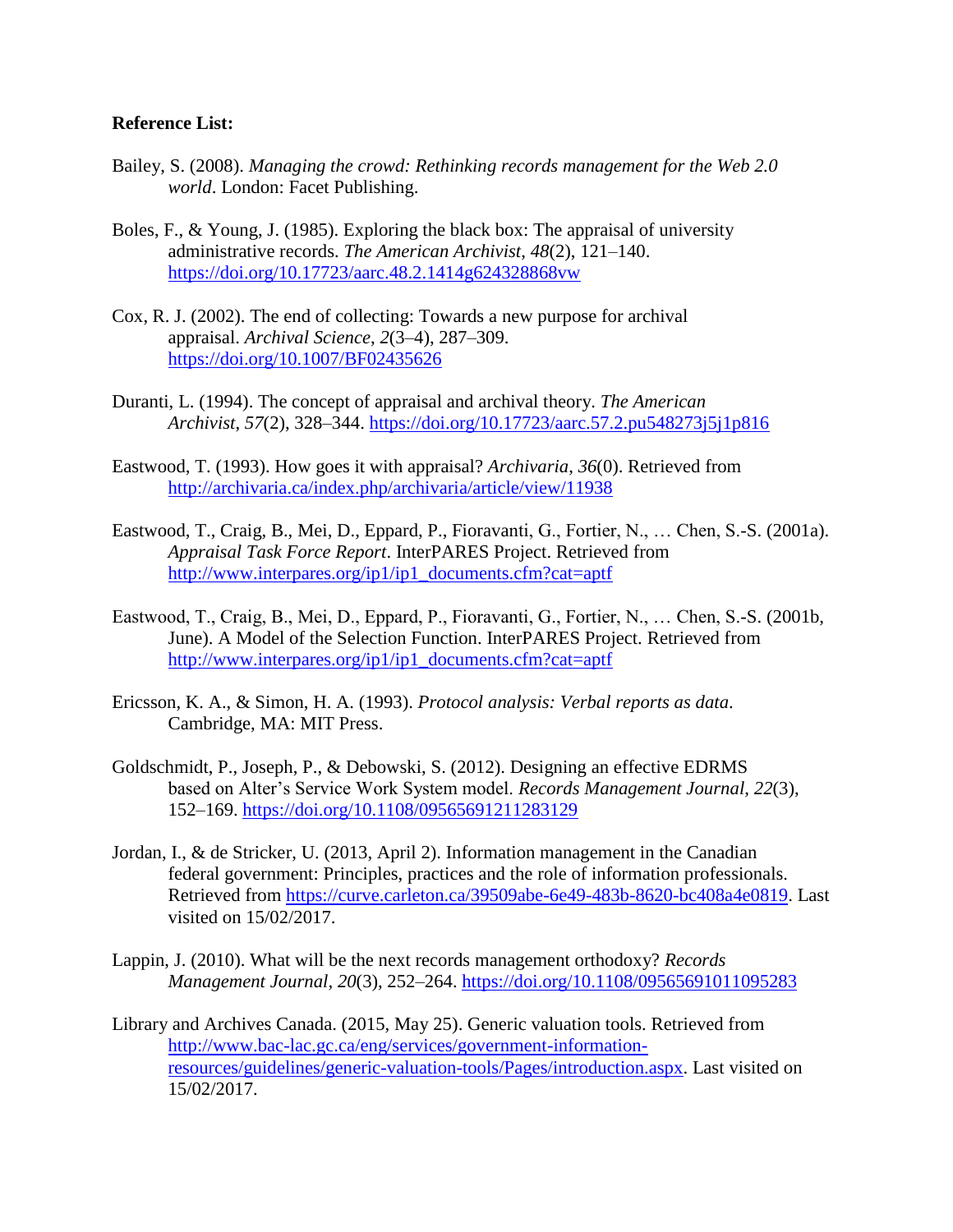#### **Reference List:**

- Bailey, S. (2008). *Managing the crowd: Rethinking records management for the Web 2.0 world*. London: Facet Publishing.
- Boles, F., & Young, J. (1985). Exploring the black box: The appraisal of university administrative records. *The American Archivist*, *48*(2), 121–140. <https://doi.org/10.17723/aarc.48.2.1414g624328868vw>
- Cox, R. J. (2002). The end of collecting: Towards a new purpose for archival appraisal. *Archival Science*, *2*(3–4), 287–309. <https://doi.org/10.1007/BF02435626>
- Duranti, L. (1994). The concept of appraisal and archival theory. *The American Archivist*, *57*(2), 328–344.<https://doi.org/10.17723/aarc.57.2.pu548273j5j1p816>
- Eastwood, T. (1993). How goes it with appraisal? *Archivaria*, *36*(0). Retrieved from <http://archivaria.ca/index.php/archivaria/article/view/11938>
- Eastwood, T., Craig, B., Mei, D., Eppard, P., Fioravanti, G., Fortier, N., … Chen, S.-S. (2001a). *Appraisal Task Force Report*. InterPARES Project. Retrieved from [http://www.interpares.org/ip1/ip1\\_documents.cfm?cat=aptf](http://www.interpares.org/ip1/ip1_documents.cfm?cat=aptf)
- Eastwood, T., Craig, B., Mei, D., Eppard, P., Fioravanti, G., Fortier, N., … Chen, S.-S. (2001b, June). A Model of the Selection Function. InterPARES Project. Retrieved from [http://www.interpares.org/ip1/ip1\\_documents.cfm?cat=aptf](http://www.interpares.org/ip1/ip1_documents.cfm?cat=aptf)
- Ericsson, K. A., & Simon, H. A. (1993). *Protocol analysis: Verbal reports as data*. Cambridge, MA: MIT Press.
- Goldschmidt, P., Joseph, P., & Debowski, S. (2012). Designing an effective EDRMS based on Alter's Service Work System model. *Records Management Journal*, *22*(3), 152–169.<https://doi.org/10.1108/09565691211283129>
- Jordan, I., & de Stricker, U. (2013, April 2). Information management in the Canadian federal government: Principles, practices and the role of information professionals. Retrieved from [https://curve.carleton.ca/39509abe-6e49-483b-8620-bc408a4e0819.](https://curve.carleton.ca/39509abe-6e49-483b-8620-bc408a4e0819) Last visited on 15/02/2017.
- Lappin, J. (2010). What will be the next records management orthodoxy? *Records Management Journal*, *20*(3), 252–264.<https://doi.org/10.1108/09565691011095283>
- Library and Archives Canada. (2015, May 25). Generic valuation tools. Retrieved from [http://www.bac-lac.gc.ca/eng/services/government-information](http://www.bac-lac.gc.ca/eng/services/government-information-resources/guidelines/generic-valuation-tools/Pages/introduction.aspx)[resources/guidelines/generic-valuation-tools/Pages/introduction.aspx.](http://www.bac-lac.gc.ca/eng/services/government-information-resources/guidelines/generic-valuation-tools/Pages/introduction.aspx) Last visited on 15/02/2017.